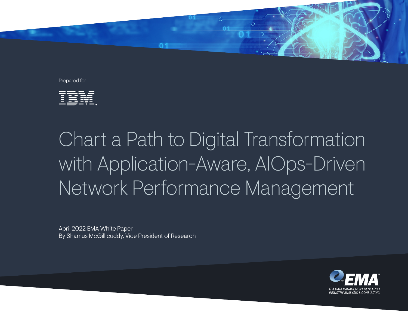

Prepared for



# Chart a Path to Digital Transformation with Application-Aware, AIOps-Driven Network Performance Management

April 2022 EMA White Paper By Shamus McGillicuddy, Vice President of Research

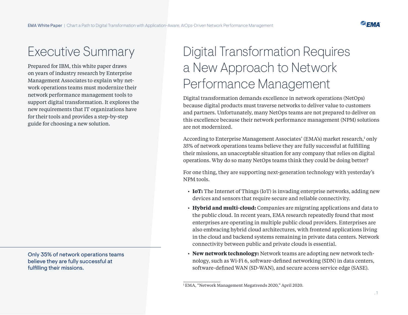**P.EMA** 

### Executive Summary

Prepared for IBM, this white paper draws on years of industry research by Enterprise Management Associates to explain why network operations teams must modernize their network performance management tools to support digital transformation. It explores the new requirements that IT organizations have for their tools and provides a step-by-step guide for choosing a new solution.

Only 35% of network operations teams believe they are fully successful at fulfilling their missions.

# Digital Transformation Requires a New Approach to Network Performance Management

Digital transformation demands excellence in network operations (NetOps) because digital products must traverse networks to deliver value to customers and partners. Unfortunately, many NetOps teams are not prepared to deliver on this excellence because their network performance management (NPM) solutions are not modernized.

According to Enterprise Management Associates' (EMA's) market research,<sup>1</sup> only 35% of network operations teams believe they are fully successful at fulfilling their missions, an unacceptable situation for any company that relies on digital operations. Why do so many NetOps teams think they could be doing better?

For one thing, they are supporting next-generation technology with yesterday's NPM tools.

- **IoT:** The Internet of Things (IoT) is invading enterprise networks, adding new devices and sensors that require secure and reliable connectivity.
- **Hybrid and multi-cloud:** Companies are migrating applications and data to the public cloud. In recent years, EMA research repeatedly found that most enterprises are operating in multiple public cloud providers. Enterprises are also embracing hybrid cloud architectures, with frontend applications living in the cloud and backend systems remaining in private data centers. Network connectivity between public and private clouds is essential.
- **New network technology:** Network teams are adopting new network technology, such as Wi-Fi 6, software-defined networking (SDN) in data centers, software-defined WAN (SD-WAN), and secure access service edge (SASE).

<sup>1</sup> EMA, "Network Management Megatrends 2020," April 2020.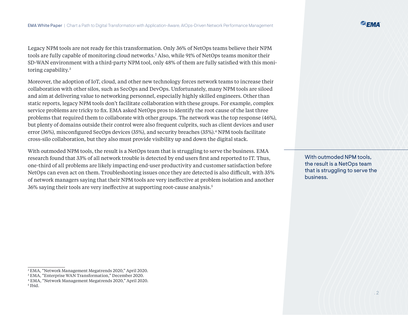Legacy NPM tools are not ready for this transformation. Only 36% of NetOps teams believe their NPM tools are fully capable of monitoring cloud networks.2 Also, while 91% of NetOps teams monitor their SD-WAN environment with a third-party NPM tool, only 48% of them are fully satisfied with this monitoring capability.3

Moreover, the adoption of IoT, cloud, and other new technology forces network teams to increase their collaboration with other silos, such as SecOps and DevOps. Unfortunately, many NPM tools are siloed and aim at delivering value to networking personnel, especially highly skilled engineers. Other than static reports, legacy NPM tools don't facilitate collaboration with these groups. For example, complex service problems are tricky to fix. EMA asked NetOps pros to identify the root cause of the last three problems that required them to collaborate with other groups. The network was the top response (46%), but plenty of domains outside their control were also frequent culprits, such as client devices and user error (36%), misconfigured SecOps devices (35%), and security breaches (35%).4 NPM tools facilitate cross-silo collaboration, but they also must provide visibility up and down the digital stack.

With outmoded NPM tools, the result is a NetOps team that is struggling to serve the business. EMA research found that 33% of all network trouble is detected by end users first and reported to IT. Thus, one-third of all problems are likely impacting end-user productivity and customer satisfaction before NetOps can even act on them. Troubleshooting issues once they are detected is also difficult, with 35% of network managers saying that their NPM tools are very ineffective at problem isolation and another 36% saying their tools are very ineffective at supporting root-cause analysis.5

With outmoded NPM tools, the result is a NetOps team that is struggling to serve the business.

<sup>2</sup> EMA, "Network Management Megatrends 2020," April 2020.

<sup>3</sup> EMA, "Enterprise WAN Transformation," December 2020.

<sup>4</sup> EMA, "Network Management Megatrends 2020," April 2020.

<sup>5</sup> Ibid.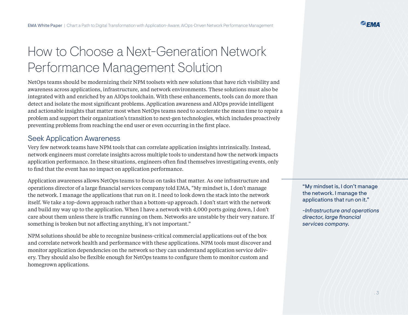## How to Choose a Next-Generation Network Performance Management Solution

NetOps teams should be modernizing their NPM toolsets with new solutions that have rich visibility and awareness across applications, infrastructure, and network environments. These solutions must also be integrated with and enriched by an AIOps toolchain. With these enhancements, tools can do more than detect and isolate the most significant problems. Application awareness and AIOps provide intelligent and actionable insights that matter most when NetOps teams need to accelerate the mean time to repair a problem and support their organization's transition to next-gen technologies, which includes proactively preventing problems from reaching the end user or even occurring in the first place.

#### Seek Application Awareness

Very few network teams have NPM tools that can correlate application insights intrinsically. Instead, network engineers must correlate insights across multiple tools to understand how the network impacts application performance. In these situations, engineers often find themselves investigating events, only to find that the event has no impact on application performance.

Application awareness allows NetOps teams to focus on tasks that matter. As one infrastructure and operations director of a large financial services company told EMA, "My mindset is, I don't manage the network. I manage the applications that run on it. I need to look down the stack into the network itself. We take a top-down approach rather than a bottom-up approach. I don't start with the network and build my way up to the application. When I have a network with 4,000 ports going down, I don't care about them unless there is traffic running on them. Networks are unstable by their very nature. If something is broken but not affecting anything, it's not important."

NPM solutions should be able to recognize business-critical commercial applications out of the box and correlate network health and performance with these applications. NPM tools must discover and monitor application dependencies on the network so they can understand application service delivery. They should also be flexible enough for NetOps teams to configure them to monitor custom and homegrown applications.

"My mindset is, I don't manage the network. I manage the applications that run on it."

*-Infrastructure and operations director, large financial services company.*

**P.EMA**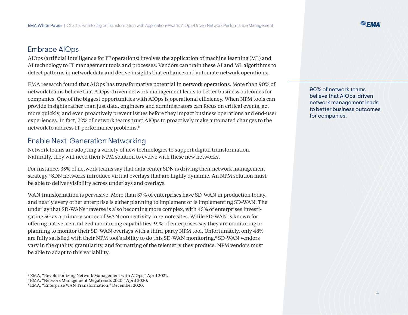### Embrace AIOps

AIOps (artificial intelligence for IT operations) involves the application of machine learning (ML) and AI technology to IT management tools and processes. Vendors can train these AI and ML algorithms to detect patterns in network data and derive insights that enhance and automate network operations.

EMA research found that AIOps has transformative potential in network operations. More than 90% of network teams believe that AIOps-driven network management leads to better business outcomes for companies. One of the biggest opportunities with AIOps is operational efficiency. When NPM tools can provide insights rather than just data, engineers and administrators can focus on critical events, act more quickly, and even proactively prevent issues before they impact business operations and end-user experiences. In fact, 72% of network teams trust AIOps to proactively make automated changes to the network to address IT performance problems.6

### Enable Next-Generation Networking

Network teams are adopting a variety of new technologies to support digital transformation. Naturally, they will need their NPM solution to evolve with these new networks.

For instance, 35% of network teams say that data center SDN is driving their network management strategy.7 SDN networks introduce virtual overlays that are highly dynamic. An NPM solution must be able to deliver visibility across underlays and overlays.

WAN transformation is pervasive. More than 37% of enterprises have SD-WAN in production today, and nearly every other enterprise is either planning to implement or is implementing SD-WAN. The underlay that SD-WANs traverse is also becoming more complex, with 45% of enterprises investigating 5G as a primary source of WAN connectivity in remote sites. While SD-WAN is known for offering native, centralized monitoring capabilities, 91% of enterprises say they are monitoring or planning to monitor their SD-WAN overlays with a third-party NPM tool. Unfortunately, only 48% are fully satisfied with their NPM tool's ability to do this SD-WAN monitoring.<sup>8</sup> SD-WAN vendors vary in the quality, granularity, and formatting of the telemetry they produce. NPM vendors must be able to adapt to this variability.

90% of network teams believe that AIOps-driven network management leads to better business outcomes for companies.

<sup>6</sup> EMA, "Revolutionizing Network Management with AIOps," April 2021.

<sup>7</sup> EMA, "Network Management Megatrends 2020," April 2020.

<sup>8</sup> EMA, "Enterprise WAN Transformation," December 2020.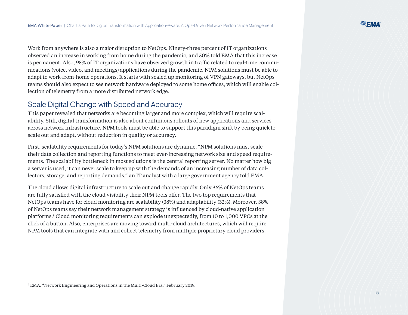Work from anywhere is also a major disruption to NetOps. Ninety-three percent of IT organizations observed an increase in working from home during the pandemic, and 50% told EMA that this increase is permanent. Also, 95% of IT organizations have observed growth in traffic related to real-time communications (voice, video, and meetings) applications during the pandemic. NPM solutions must be able to adapt to work-from-home operations. It starts with scaled up monitoring of VPN gateways, but NetOps teams should also expect to see network hardware deployed to some home offices, which will enable collection of telemetry from a more distributed network edge.

#### Scale Digital Change with Speed and Accuracy

This paper revealed that networks are becoming larger and more complex, which will require scalability. Still, digital transformation is also about continuous rollouts of new applications and services across network infrastructure. NPM tools must be able to support this paradigm shift by being quick to scale out and adapt, without reduction in quality or accuracy.

First, scalability requirements for today's NPM solutions are dynamic. "NPM solutions must scale their data collection and reporting functions to meet ever-increasing network size and speed requirements. The scalability bottleneck in most solutions is the central reporting server. No matter how big a server is used, it can never scale to keep up with the demands of an increasing number of data collectors, storage, and reporting demands," an IT analyst with a large government agency told EMA.

The cloud allows digital infrastructure to scale out and change rapidly. Only 36% of NetOps teams are fully satisfied with the cloud visibility their NPM tools offer. The two top requirements that NetOps teams have for cloud monitoring are scalability (38%) and adaptability (32%). Moreover, 38% of NetOps teams say their network management strategy is influenced by cloud-native application platforms.9 Cloud monitoring requirements can explode unexpectedly, from 10 to 1,000 VPCs at the click of a button. Also, enterprises are moving toward multi-cloud architectures, which will require NPM tools that can integrate with and collect telemetry from multiple proprietary cloud providers.

<sup>9</sup> EMA, "Network Engineering and Operations in the Multi-Cloud Era," February 2019.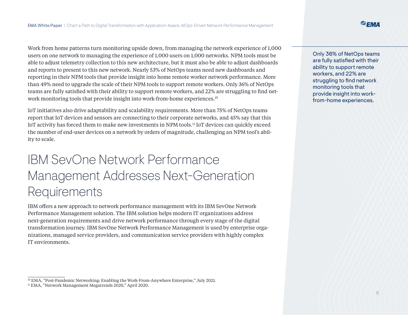Work from home patterns turn monitoring upside down, from managing the network experience of 1,000 users on one network to managing the experience of 1,000 users on 1,000 networks. NPM tools must be able to adjust telemetry collection to this new architecture, but it must also be able to adjust dashboards and reports to present to this new network. Nearly 53% of NetOps teams need new dashboards and reporting in their NPM tools that provide insight into home remote worker network performance. More than 49% need to upgrade the scale of their NPM tools to support remote workers. Only 36% of NetOps teams are fully satisfied with their ability to support remote workers, and 22% are struggling to find network monitoring tools that provide insight into work-from-home experiences.<sup>10</sup>

IoT initiatives also drive adaptability and scalability requirements. More than 75% of NetOps teams report that IoT devices and sensors are connecting to their corporate networks, and 45% say that this IoT activity has forced them to make new investments in NPM tools.11 IoT devices can quickly exceed the number of end-user devices on a network by orders of magnitude, challenging an NPM tool's ability to scale.

## IBM SevOne Network Performance Management Addresses Next-Generation **Requirements**

IBM offers a new approach to network performance management with its IBM SevOne Network Performance Management solution. The IBM solution helps modern IT organizations address next-generation requirements and drive network performance through every stage of the digital transformation journey. IBM SevOne Network Performance Management is used by enterprise organizations, managed service providers, and communication service providers with highly complex IT environments.

Only 36% of NetOps teams are fully satisfied with their ability to support remote workers, and 22% are struggling to find network monitoring tools that provide insight into workfrom-home experiences.

<sup>&</sup>lt;sup>10</sup> EMA, "Post-Pandemic Networking: Enabling the Work-From-Anywhere Enterprise," July 2021.

<sup>11</sup> EMA, "Network Management Megatrends 2020," April 2020.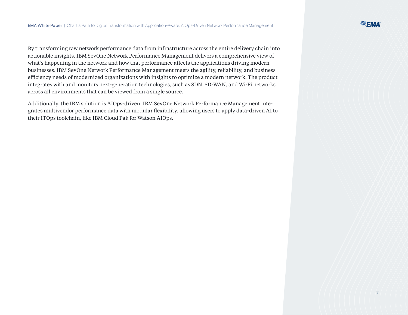By transforming raw network performance data from infrastructure across the entire delivery chain into actionable insights, IBM SevOne Network Performance Management delivers a comprehensive view of what's happening in the network and how that performance affects the applications driving modern businesses. IBM SevOne Network Performance Management meets the agility, reliability, and business efficiency needs of modernized organizations with insights to optimize a modern network. The product integrates with and monitors next-generation technologies, such as SDN, SD-WAN, and Wi-Fi networks across all environments that can be viewed from a single source.

Additionally, the IBM solution is AIOps-driven. IBM SevOne Network Performance Management integrates multivendor performance data with modular flexibility, allowing users to apply data-driven AI to their ITOps toolchain, like IBM Cloud Pak for Watson AIOps.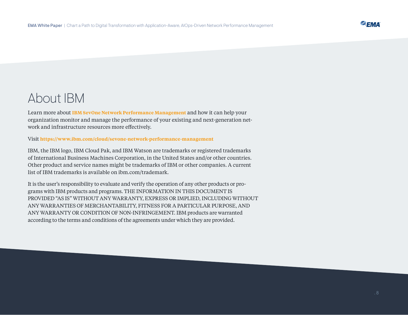## About IBM

Learn more about **[IBM SevOne Network Performance Management](https://www.ibm.com/cloud/sevone-network-performance-management)** and how it can help your organization monitor and manage the performance of your existing and next-generation network and infrastructure resources more effectively.

#### Visit **<https://www.ibm.com/cloud/sevone-network-performance-management>**

IBM, the IBM logo, IBM Cloud Pak, and IBM Watson are trademarks or registered trademarks of International Business Machines Corporation, in the United States and/or other countries. Other product and service names might be trademarks of IBM or other companies. A current list of IBM trademarks is available on ibm.com/trademark.

It is the user's responsibility to evaluate and verify the operation of any other products or programs with IBM products and programs. THE INFORMATION IN THIS DOCUMENT IS PROVIDED "AS IS" WITHOUT ANY WARRANTY, EXPRESS OR IMPLIED, INCLUDING WITHOUT ANY WARRANTIES OF MERCHANTABILITY, FITNESS FOR A PARTICULAR PURPOSE, AND ANY WARRANTY OR CONDITION OF NON-INFRINGEMENT. IBM products are warranted according to the terms and conditions of the agreements under which they are provided.